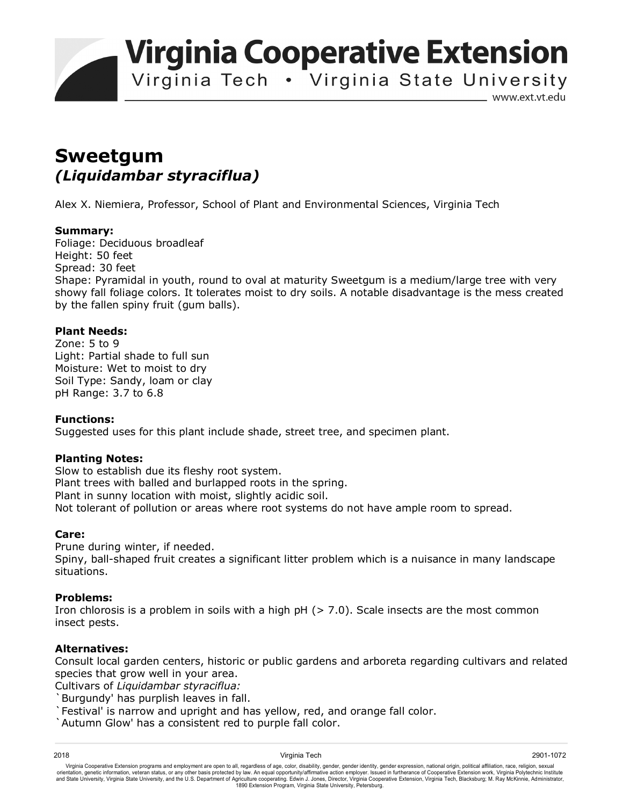**Virginia Cooperative Extension** 

Virginia Tech . Virginia State University

www.ext.vt.edu

# **Sweetgum**  *(Liquidambar styraciflua)*

Alex X. Niemiera, Professor, School of Plant and Environmental Sciences, Virginia Tech

#### **Summary:**

Foliage: Deciduous broadleaf Height: 50 feet Spread: 30 feet Shape: Pyramidal in youth, round to oval at maturity Sweetgum is a medium/large tree with very showy fall foliage colors. It tolerates moist to dry soils. A notable disadvantage is the mess created by the fallen spiny fruit (gum balls).

### **Plant Needs:**

Zone: 5 to 9 Light: Partial shade to full sun Moisture: Wet to moist to dry Soil Type: Sandy, loam or clay pH Range: 3.7 to 6.8

#### **Functions:**

Suggested uses for this plant include shade, street tree, and specimen plant.

## **Planting Notes:**

Slow to establish due its fleshy root system. Plant trees with balled and burlapped roots in the spring. Plant in sunny location with moist, slightly acidic soil. Not tolerant of pollution or areas where root systems do not have ample room to spread.

## **Care:**

Prune during winter, if needed. Spiny, ball-shaped fruit creates a significant litter problem which is a nuisance in many landscape situations.

#### **Problems:**

Iron chlorosis is a problem in soils with a high  $pH$  ( $> 7.0$ ). Scale insects are the most common insect pests.

## **Alternatives:**

Consult local garden centers, historic or public gardens and arboreta regarding cultivars and related species that grow well in your area.

Cultivars of *Liquidambar styraciflua:*

Burgundy' has purplish leaves in fall.

`Festival' is narrow and upright and has yellow, red, and orange fall color.

`Autumn Glow' has a consistent red to purple fall color.

2018 Virginia Tech 2901-1072 Virginia Cooperative Extension programs and employment are open to all, regardless of age, color, disability, gender, gender identity, gender expression, national origin, political affiliation, race, religion, sexual orientation, genetic information, veteran status, or any other basis protected by law. An equal opportunity/affirmative action employer. Issued in furtherance of Cooperative Extension work, Virginia Polytechnic Institute<br>a 1890 Extension Program, Virginia State University, Petersburg.